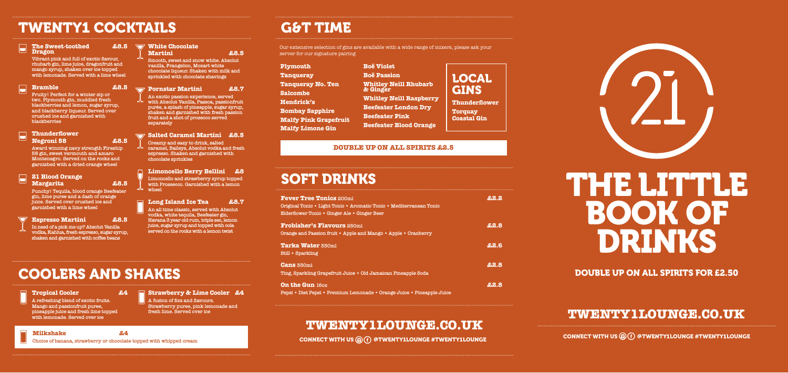#### **The Sweet-toothed £8.5 Dragon**

**Vibrant pink and full of exotic flavour, rhubarb gin, lime juice, dragonfruit and mango syrup, shaken over ice topped with lemonade. Served with a lime wheel**

#### **Bramble £8.5**

**Fruity! Perfect for a winter sip or two. Plymouth gin, muddled fresh blackberries and lemon, sugar syrup, and blackberry liqueur. Served over crushed ice and garnished with blackberries**

#### **Thunderflower Negroni 58 £8.5**

**Award winning navy strength Fireship 58 gin, sweet vermouth and amaro Montenegro. Served on the rocks and garnished with a dried orange wheel**

#### **21 Blood Orange Margarita £8.5**

**Punchy! Tequila, blood orange Beefeater gin, lime puree and a dash of orange juice. Served over crushed ice and garnished with a lime wheel**

### **Espresso Martini £8.5**

**In need of a pick me up? Absolut Vanilla vodka, Kahlua, fresh espresso, sugar syrup, shaken and garnished with coffee beans**

### **£8.5** White Chocolate

**Martini £8.5 Smooth, sweet and snow white. Absolut** 

**vanilla, Frangelico, Mozart white chocolate liqueur. Shaken with milk and sprinkled with chocolate shavings**

#### **Pornstar Martini £8.7**

**An exotic passion experience, served with Absolut Vanilla, Passoa, passionfruit purée, a splash of pineapple, sugar syrup, shaken and garnished with fresh passion fruit and a shot of prosecco served separately**

### **Salted Caramel Martini £8.5**

**Creamy and easy to drink, salted** 

**caramel, Baileys, Absolut vodka and fresh espresso. Shaken and garnished with chocolate sprinkles** 

#### **Limoncello Berry Bellini £8**

**Limoncello and strawberry syrup topped with Prossecco. Garnished with a lemon wheel**

### **Long Island Ice Tea £8.7**

**An all time classic, served with Absolut vodka, white tequila, Beefeater gin, Havana 3 year old rum, triple sec, lemon juice, sugar syrup and topped with cola served on the rocks with a lemon twist** 

**A refreshing blend of exotic fruits. Mango and passionfruit puree, pineapple juice and fresh lime topped with lemonade. Served over ice**

#### **Strawberry & Lime Cooler £4**

**A fusion of fizz and flavours. Strawberry puree, pink lemonade and fresh lime. Served over ice**

Our extensive selection of gins are available with a wide range of mixers, please ask your server for our signature pairing

**Plymouth Tanqueray Tanqueray No. Ten Salcombe Hendrick's Bombay Sapphire Malfy Pink Grapefruit Malfy Limone Gin** 

### **Boë Violet Boë Passion Whitley Neill Rhubarb & Ginger Whitley Neill Raspberry Beefeater London Dry Beefeater Pink**

**Beefeater Blood Orange**

### TWENTY1 COCKTAILS

# COOLERS AND SHAKES

#### **Tropical Cooler**

# G&T TIME

### **TWENTY1LOUNGE.CO.UK**

CONNECT WITH US  $\circledS$  (f) @TWENTY1LOUNGE #TWENTY1LOUNGE  $\bullet$  CONNECT WITH US  $\circledS$   $\circledR$  @TWENTY1LOUNGE #TWENTY1LOUNGE

### DOUBLE UP ON ALL SPIRITS FOR £2.50

### **Milkshake £4 Milkshake £4**

### **TWENTY1LOUNGE.CO.UK**



**Choice of banana, strawberry or chocolate topped with whipped cream Choice of banana, strawberry or chocolate topped with whipped cream**

# THE LITTLE BOOK OF DRINKS

### SOFT DRINKS

| <b>Fever Tree Tonics 200ml</b>                                         | £2.2  |
|------------------------------------------------------------------------|-------|
| Original Tonic • Light Tonic • Aromatic Tonic • Mediterranean Tonic    |       |
| Elderflower Tonic • Ginger Ale • Ginger Beer                           |       |
| <b>Frobisher's Flavours 250ml</b>                                      | \$2.8 |
| Orange and Passion fruit • Apple and Mango • Apple • Cranberry         |       |
| <b>Tarka Water 330ml</b>                                               | £2.6  |
| Still • Sparkling                                                      |       |
| Cans <sub>330ml</sub>                                                  | \$2.8 |
| Ting, Sparkling Grapefruit Juice • Old Jamaican Pineapple Soda         |       |
| <b>On the Gun 160z</b>                                                 | \$2.8 |
| Pensi • Diet Pensi • Premium Lemonade • Orange Juice • Pineapple Juice |       |

### **DOUBLE UP ON ALL SPIRITS £2.5**

LOCAL GINS

**Thunderflower Torquay Coastal Gin**